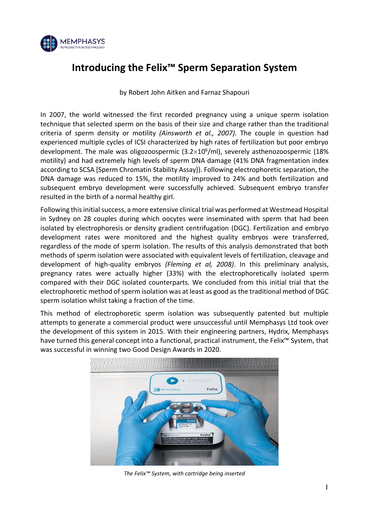

# **Introducing the Felix™ Sperm Separation System**

by Robert John Aitken and Farnaz Shapouri

In 2007, the world witnessed the first recorded pregnancy using a unique sperm isolation technique that selected sperm on the basis of their size and charge rather than the traditional criteria of sperm density or motility *(Ainsworth et al., 2007).* The couple in question had experienced multiple cycles of ICSI characterized by high rates of fertilization but poor embryo development. The male was oligozoospermic (3.2 $\times$ 10<sup>6</sup>/ml), severely asthenozoospermic (18% motility) and had extremely high levels of sperm DNA damage (41% DNA fragmentation index according to SCSA [Sperm Chromatin Stability Assay]). Following electrophoretic separation, the DNA damage was reduced to 15%, the motility improved to 24% and both fertilization and subsequent embryo development were successfully achieved. Subsequent embryo transfer resulted in the birth of a normal healthy girl.

Following this initial success, a more extensive clinical trial was performed at Westmead Hospital in Sydney on 28 couples during which oocytes were inseminated with sperm that had been isolated by electrophoresis or density gradient centrifugation (DGC). Fertilization and embryo development rates were monitored and the highest quality embryos were transferred, regardless of the mode of sperm isolation. The results of this analysis demonstrated that both methods of sperm isolation were associated with equivalent levels of fertilization, cleavage and development of high-quality embryos *(Fleming et al, 2008)*. In this preliminary analysis, pregnancy rates were actually higher (33%) with the electrophoretically isolated sperm compared with their DGC isolated counterparts. We concluded from this initial trial that the electrophoretic method of sperm isolation was at least as good as the traditional method of DGC sperm isolation whilst taking a fraction of the time.

This method of electrophoretic sperm isolation was subsequently patented but multiple attempts to generate a commercial product were unsuccessful until Memphasys Ltd took over the development of this system in 2015. With their engineering partners, Hydrix, Memphasys have turned this general concept into a functional, practical instrument, the Felix™ System, that was successful in winning two Good Design Awards in 2020.



*The Felix™ System, with cartridge being inserted*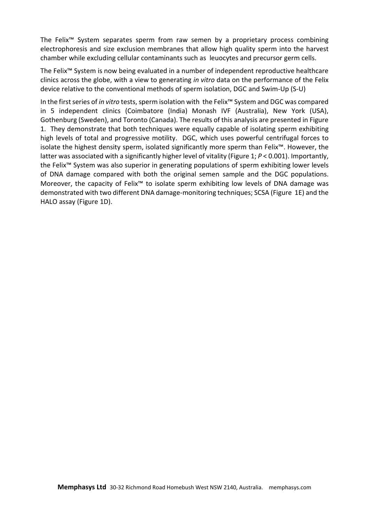The Felix™ System separates sperm from raw semen by a proprietary process combining electrophoresis and size exclusion membranes that allow high quality sperm into the harvest chamber while excluding cellular contaminants such as leuocytes and precursor germ cells.

The Felix™ System is now being evaluated in a number of independent reproductive healthcare clinics across the globe, with a view to generating *in vitro* data on the performance of the Felix device relative to the conventional methods of sperm isolation, DGC and Swim-Up (S-U)

In the first series of *in vitro* tests, sperm isolation with the Felix™ System and DGC was compared in 5 independent clinics (Coimbatore (India) Monash IVF (Australia), New York (USA), Gothenburg (Sweden), and Toronto (Canada). The results of this analysis are presented in Figure 1. They demonstrate that both techniques were equally capable of isolating sperm exhibiting high levels of total and progressive motility. DGC, which uses powerful centrifugal forces to isolate the highest density sperm, isolated significantly more sperm than Felix™. However, the latter was associated with a significantly higher level of vitality (Figure 1; *P* < 0.001). Importantly, the Felix™ System was also superior in generating populations of sperm exhibiting lower levels of DNA damage compared with both the original semen sample and the DGC populations. Moreover, the capacity of Felix™ to isolate sperm exhibiting low levels of DNA damage was demonstrated with two different DNA damage-monitoring techniques; SCSA (Figure 1E) and the HALO assay (Figure 1D).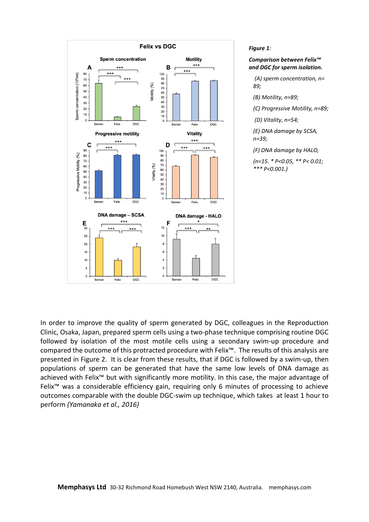

#### *Figure 1:*

### *Comparison between Felix™ and DGC for sperm isolation.*

*(A) sperm concentration, n= 89;* 

*(B) Motility, n=89;* 

*(C) Progressive Motility, n=89;*

*(D) Vitality, n=54;* 

*(E) DNA damage by SCSA, n=39;* 

*(F) DNA damage by HALO,* 

*(n=15. \* P<0.05, \*\* P< 0.01; \*\*\* P<0.001.)*

In order to improve the quality of sperm generated by DGC, colleagues in the Reproduction Clinic, Osaka, Japan, prepared sperm cells using a two-phase technique comprising routine DGC followed by isolation of the most motile cells using a secondary swim-up procedure and compared the outcome of this protracted procedure with Felix™. The results of this analysis are presented in Figure 2. It is clear from these results, that if DGC is followed by a swim-up, then populations of sperm can be generated that have the same low levels of DNA damage as achieved with Felix™ but with significantly more motility. In this case, the major advantage of Felix<sup>™</sup> was a considerable efficiency gain, requiring only 6 minutes of processing to achieve outcomes comparable with the double DGC-swim up technique, which takes at least 1 hour to perform *(Yamanaka et al., 2016)*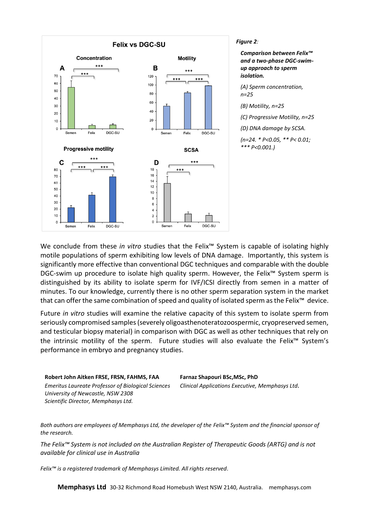

### *Figure 2:*

*Comparison between Felix™ and a two-phase DGC-swimup approach to sperm isolation.* 

*(A) Sperm concentration, n=25* 

*(B) Motility, n=25* 

*(C) Progressive Motility, n=25* 

*(D) DNA damage by SCSA.* 

*(n=24. \* P<0.05, \*\* P< 0.01; \*\*\* P<0.001.)*

We conclude from these *in vitro* studies that the Felix™ System is capable of isolating highly motile populations of sperm exhibiting low levels of DNA damage. Importantly, this system is significantly more effective than conventional DGC techniques and comparable with the double DGC-swim up procedure to isolate high quality sperm. However, the Felix<sup>™</sup> System sperm is distinguished by its ability to isolate sperm for IVF/ICSI directly from semen in a matter of minutes. To our knowledge, currently there is no other sperm separation system in the market that can offer the same combination of speed and quality of isolated sperm as the Felix™ device.

Future *in vitro* studies will examine the relative capacity of this system to isolate sperm from seriously compromised samples (severely oligoasthenoteratozoospermic, cryopreserved semen, and testicular biopsy material) in comparison with DGC as well as other techniques that rely on the intrinsic motility of the sperm. Future studies will also evaluate the Felix™ System's performance in embryo and pregnancy studies.

**Robert John Aitken FRSE, FRSN, FAHMS, FAA Farnaz Shapouri BSc,MSc, PhD** *Emeritus Laureate Professor of Biological Sciences Clinical Applications Executive, Memphasys Ltd. University of Newcastle, NSW 2308 Scientific Director, Memphasys Ltd.*

*Both authors are employees of Memphasys Ltd, the developer of the Felix™ System and the financial sponsor of the research.*

*The Felix™ System is not included on the Australian Register of Therapeutic Goods (ARTG) and is not available for clinical use in Australia*

*Felix™ is a registered trademark of Memphasys Limited. All rights reserved.*

**Memphasys Ltd** 30-32 Richmond Road Homebush West NSW 2140, Australia. memphasys.com